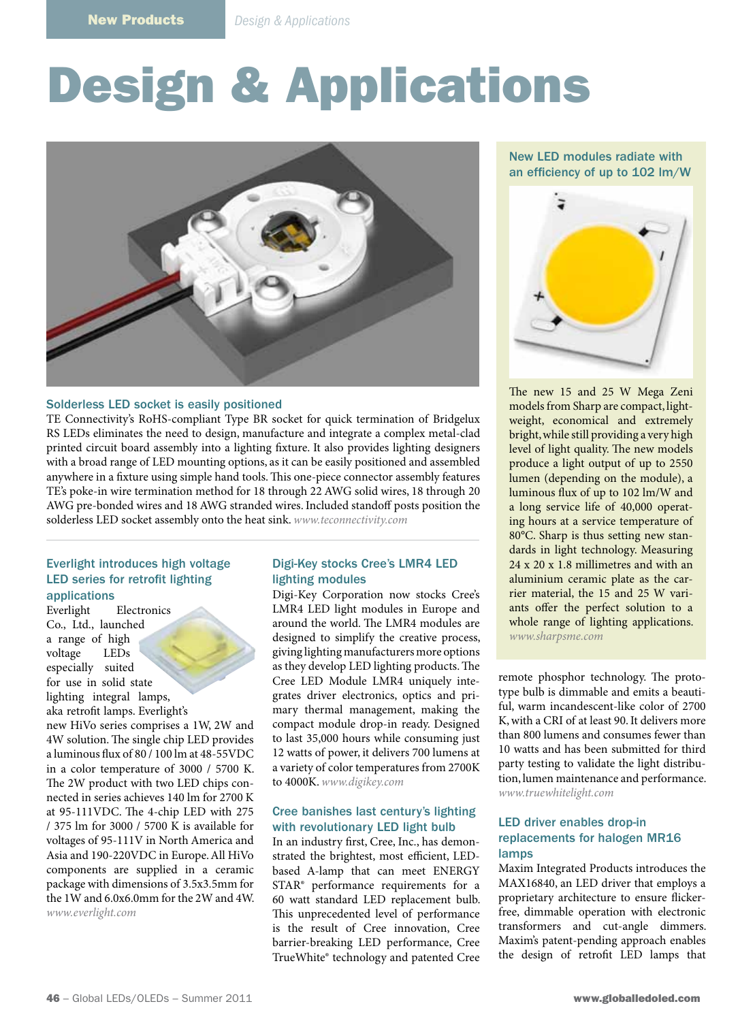# Design & Applications



#### Solderless LED socket is easily positioned

TE Connectivity's RoHS-compliant Type BR socket for quick termination of Bridgelux RS LEDs eliminates the need to design, manufacture and integrate a complex metal-clad printed circuit board assembly into a lighting fixture. It also provides lighting designers with a broad range of LED mounting options, as it can be easily positioned and assembled anywhere in a fixture using simple hand tools. This one-piece connector assembly features TE's poke-in wire termination method for 18 through 22 AWG solid wires, 18 through 20 AWG pre-bonded wires and 18 AWG stranded wires. Included standoff posts position the solderless LED socket assembly onto the heat sink. *www.teconnectivity.com*

#### Everlight introduces high voltage LED series for retrofit lighting applications

Everlight Electronics Co., Ltd., launched a range of high voltage LEDs especially suited for use in solid state lighting integral lamps, aka retrofit lamps. Everlight's

new HiVo series comprises a 1W, 2W and 4W solution. The single chip LED provides a luminous flux of 80 / 100 lm at 48-55VDC in a color temperature of 3000 / 5700 K. The 2W product with two LED chips connected in series achieves 140 lm for 2700 K at 95-111VDC. The 4-chip LED with 275 / 375 lm for 3000 / 5700 K is available for voltages of 95-111V in North America and Asia and 190-220VDC in Europe. All HiVo components are supplied in a ceramic package with dimensions of 3.5x3.5mm for the 1W and 6.0x6.0mm for the 2W and 4W. *www.everlight.com*

#### Digi-Key stocks Cree's LMR4 LED lighting modules

Digi-Key Corporation now stocks Cree's LMR4 LED light modules in Europe and around the world. The LMR4 modules are designed to simplify the creative process, giving lighting manufacturers more options as they develop LED lighting products. The Cree LED Module LMR4 uniquely integrates driver electronics, optics and primary thermal management, making the compact module drop-in ready. Designed to last 35,000 hours while consuming just 12 watts of power, it delivers 700 lumens at a variety of color temperatures from 2700K to 4000K. *www.digikey.com*

# Cree banishes last century's lighting with revolutionary LED light bulb

In an industry first, Cree, Inc., has demonstrated the brightest, most efficient, LEDbased A-lamp that can meet ENERGY STAR® performance requirements for a 60 watt standard LED replacement bulb. This unprecedented level of performance is the result of Cree innovation, Cree barrier-breaking LED performance, Cree TrueWhite® technology and patented Cree

New LED modules radiate with an efficiency of up to 102 lm/W



The new 15 and 25 W Mega Zeni models from Sharp are compact, lightweight, economical and extremely bright, while still providing a very high level of light quality. The new models produce a light output of up to 2550 lumen (depending on the module), a luminous flux of up to 102 lm/W and a long service life of 40,000 operating hours at a service temperature of 80°C. Sharp is thus setting new standards in light technology. Measuring 24 x 20 x 1.8 millimetres and with an aluminium ceramic plate as the carrier material, the 15 and 25 W variants offer the perfect solution to a whole range of lighting applications. *www.sharpsme.com*

remote phosphor technology. The prototype bulb is dimmable and emits a beautiful, warm incandescent-like color of 2700 K, with a CRI of at least 90. It delivers more than 800 lumens and consumes fewer than 10 watts and has been submitted for third party testing to validate the light distribution, lumen maintenance and performance. *www.truewhitelight.com*

#### LED driver enables drop-in replacements for halogen MR16 lamps

Maxim Integrated Products introduces the MAX16840, an LED driver that employs a proprietary architecture to ensure flickerfree, dimmable operation with electronic transformers and cut-angle dimmers. Maxim's patent-pending approach enables the design of retrofit LED lamps that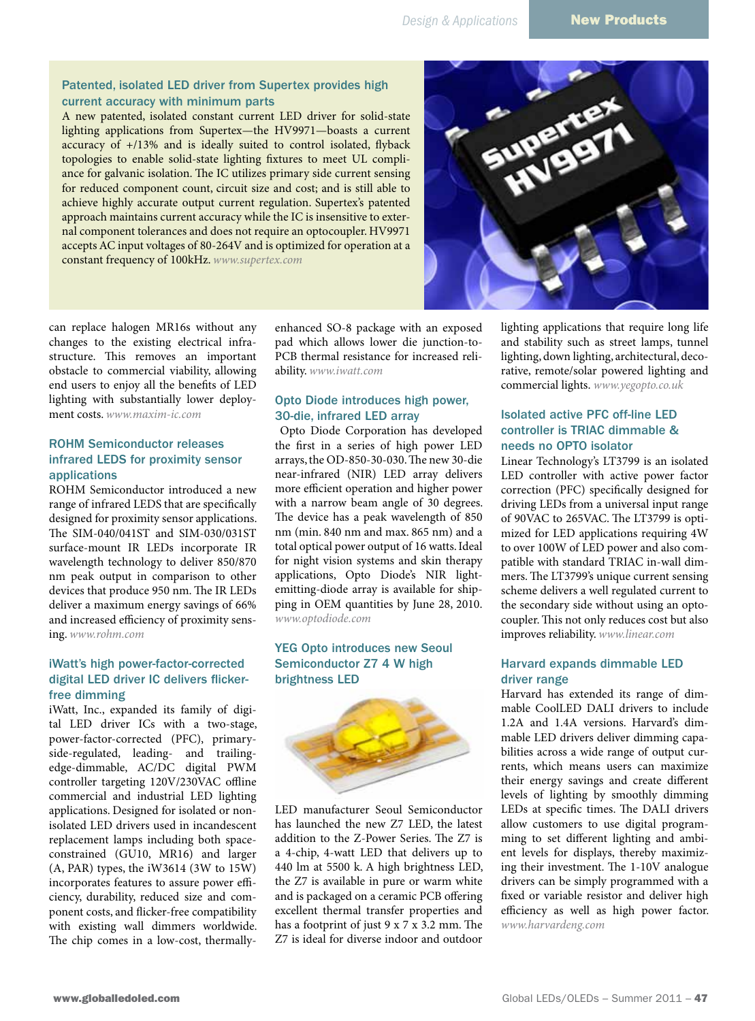#### Patented, isolated LED driver from Supertex provides high current accuracy with minimum parts

A new patented, isolated constant current LED driver for solid-state lighting applications from Supertex—the HV9971—boasts a current accuracy of +/13% and is ideally suited to control isolated, flyback topologies to enable solid-state lighting fixtures to meet UL compliance for galvanic isolation. The IC utilizes primary side current sensing for reduced component count, circuit size and cost; and is still able to achieve highly accurate output current regulation. Supertex's patented approach maintains current accuracy while the IC is insensitive to external component tolerances and does not require an optocoupler. HV9971 accepts AC input voltages of 80-264V and is optimized for operation at a constant frequency of 100kHz. *www.supertex.com*



can replace halogen MR16s without any changes to the existing electrical infrastructure. This removes an important obstacle to commercial viability, allowing end users to enjoy all the benefits of LED lighting with substantially lower deployment costs. *www.maxim-ic.com*

# ROHM Semiconductor releases infrared LEDS for proximity sensor applications

ROHM Semiconductor introduced a new range of infrared LEDS that are specifically designed for proximity sensor applications. The SIM-040/041ST and SIM-030/031ST surface-mount IR LEDs incorporate IR wavelength technology to deliver 850/870 nm peak output in comparison to other devices that produce 950 nm. The IR LEDs deliver a maximum energy savings of 66% and increased efficiency of proximity sensing. *www.rohm.com*

#### iWatt's high power-factor-corrected digital LED driver IC delivers flickerfree dimming

iWatt, Inc., expanded its family of digital LED driver ICs with a two-stage, power-factor-corrected (PFC), primaryside-regulated, leading- and trailingedge-dimmable, AC/DC digital PWM controller targeting 120V/230VAC offline commercial and industrial LED lighting applications. Designed for isolated or nonisolated LED drivers used in incandescent replacement lamps including both spaceconstrained (GU10, MR16) and larger (A, PAR) types, the iW3614 (3W to 15W) incorporates features to assure power efficiency, durability, reduced size and component costs, and flicker-free compatibility with existing wall dimmers worldwide. The chip comes in a low-cost, thermallyenhanced SO-8 package with an exposed pad which allows lower die junction-to-PCB thermal resistance for increased reliability. *www.iwatt.com*

#### Opto Diode introduces high power, 30-die, infrared LED array

 Opto Diode Corporation has developed the first in a series of high power LED arrays, the OD-850-30-030. The new 30-die near-infrared (NIR) LED array delivers more efficient operation and higher power with a narrow beam angle of 30 degrees. The device has a peak wavelength of 850 nm (min. 840 nm and max. 865 nm) and a total optical power output of 16 watts. Ideal for night vision systems and skin therapy applications, Opto Diode's NIR lightemitting-diode array is available for shipping in OEM quantities by June 28, 2010. *www.optodiode.com*

# YEG Opto introduces new Seoul Semiconductor Z7 4 W high brightness LED



LED manufacturer Seoul Semiconductor has launched the new Z7 LED, the latest addition to the Z-Power Series. The Z7 is a 4-chip, 4-watt LED that delivers up to 440 lm at 5500 k. A high brightness LED, the Z7 is available in pure or warm white and is packaged on a ceramic PCB offering excellent thermal transfer properties and has a footprint of just 9 x 7 x 3.2 mm. The Z7 is ideal for diverse indoor and outdoor lighting applications that require long life and stability such as street lamps, tunnel lighting, down lighting, architectural, decorative, remote/solar powered lighting and commercial lights. *www.yegopto.co.uk*

# Isolated active PFC off-line LED controller is TRIAC dimmable & needs no OPTO isolator

Linear Technology's LT3799 is an isolated LED controller with active power factor correction (PFC) specifically designed for driving LEDs from a universal input range of 90VAC to 265VAC. The LT3799 is optimized for LED applications requiring 4W to over 100W of LED power and also compatible with standard TRIAC in-wall dimmers. The LT3799's unique current sensing scheme delivers a well regulated current to the secondary side without using an optocoupler. This not only reduces cost but also improves reliability. *www.linear.com*

# Harvard expands dimmable LED driver range

Harvard has extended its range of dimmable CoolLED DALI drivers to include 1.2A and 1.4A versions. Harvard's dimmable LED drivers deliver dimming capabilities across a wide range of output currents, which means users can maximize their energy savings and create different levels of lighting by smoothly dimming LEDs at specific times. The DALI drivers allow customers to use digital programming to set different lighting and ambient levels for displays, thereby maximizing their investment. The 1-10V analogue drivers can be simply programmed with a fixed or variable resistor and deliver high efficiency as well as high power factor. *www.harvardeng.com*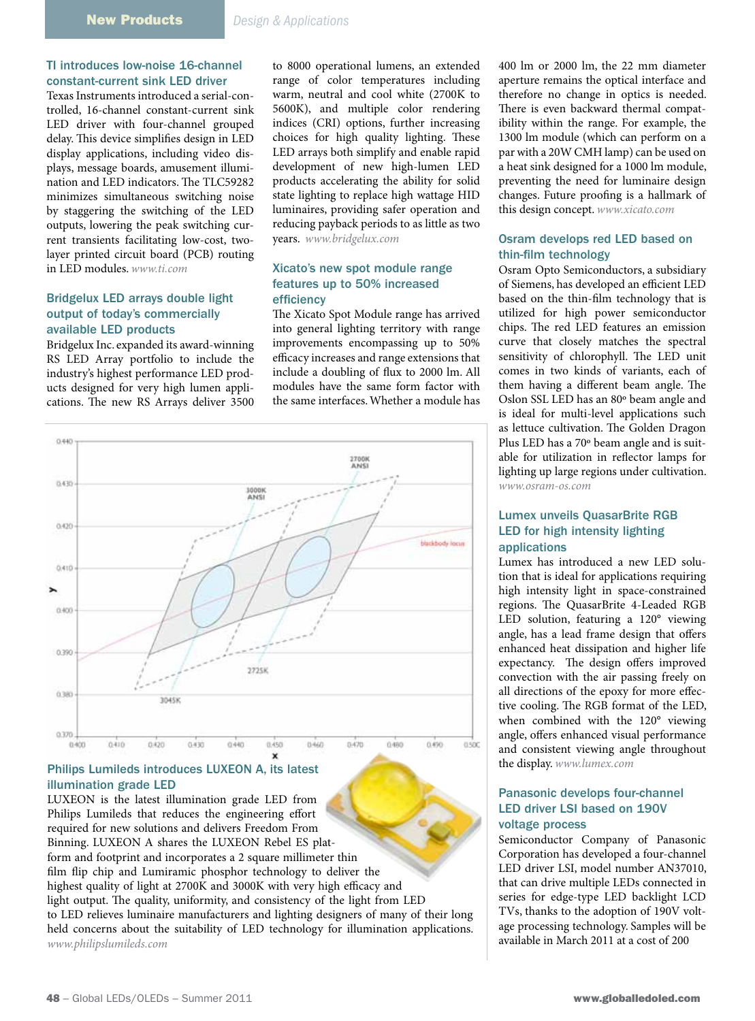# TI introduces low-noise 16-channel constant-current sink LED driver

Texas Instruments introduced a serial-controlled, 16-channel constant-current sink LED driver with four-channel grouped delay. This device simplifies design in LED display applications, including video displays, message boards, amusement illumination and LED indicators. The TLC59282 minimizes simultaneous switching noise by staggering the switching of the LED outputs, lowering the peak switching current transients facilitating low-cost, twolayer printed circuit board (PCB) routing in LED modules. *www.ti.com*

#### Bridgelux LED arrays double light output of today's commercially available LED products

Bridgelux Inc. expanded its award-winning RS LED Array portfolio to include the industry's highest performance LED products designed for very high lumen applications. The new RS Arrays deliver 3500

to 8000 operational lumens, an extended range of color temperatures including warm, neutral and cool white (2700K to 5600K), and multiple color rendering indices (CRI) options, further increasing choices for high quality lighting. These LED arrays both simplify and enable rapid development of new high-lumen LED products accelerating the ability for solid state lighting to replace high wattage HID luminaires, providing safer operation and reducing payback periods to as little as two years. *www.bridgelux.com*

#### Xicato's new spot module range features up to 50% increased efficiency

The Xicato Spot Module range has arrived into general lighting territory with range improvements encompassing up to 50% efficacy increases and range extensions that include a doubling of flux to 2000 lm. All modules have the same form factor with the same interfaces. Whether a module has



#### Philips Lumileds introduces LUXEON A, its latest illumination grade LED

LUXEON is the latest illumination grade LED from Philips Lumileds that reduces the engineering effort required for new solutions and delivers Freedom From Binning. LUXEON A shares the LUXEON Rebel ES platform and footprint and incorporates a 2 square millimeter thin film flip chip and Lumiramic phosphor technology to deliver the highest quality of light at 2700K and 3000K with very high efficacy and light output. The quality, uniformity, and consistency of the light from LED to LED relieves luminaire manufacturers and lighting designers of many of their long held concerns about the suitability of LED technology for illumination applications. *www.philipslumileds.com*

400 lm or 2000 lm, the 22 mm diameter aperture remains the optical interface and therefore no change in optics is needed. There is even backward thermal compatibility within the range. For example, the 1300 lm module (which can perform on a par with a 20W CMH lamp) can be used on a heat sink designed for a 1000 lm module, preventing the need for luminaire design changes. Future proofing is a hallmark of this design concept. *www.xicato.com*

#### Osram develops red LED based on thin-film technology

Osram Opto Semiconductors, a subsidiary of Siemens, has developed an efficient LED based on the thin-film technology that is utilized for high power semiconductor chips. The red LED features an emission curve that closely matches the spectral sensitivity of chlorophyll. The LED unit comes in two kinds of variants, each of them having a different beam angle. The Oslon SSL LED has an 80º beam angle and is ideal for multi-level applications such as lettuce cultivation. The Golden Dragon Plus LED has a 70º beam angle and is suitable for utilization in reflector lamps for lighting up large regions under cultivation. *www.osram-os.com*

# Lumex unveils QuasarBrite RGB LED for high intensity lighting applications

Lumex has introduced a new LED solution that is ideal for applications requiring high intensity light in space-constrained regions. The QuasarBrite 4-Leaded RGB LED solution, featuring a 120° viewing angle, has a lead frame design that offers enhanced heat dissipation and higher life expectancy. The design offers improved convection with the air passing freely on all directions of the epoxy for more effective cooling. The RGB format of the LED, when combined with the 120° viewing angle, offers enhanced visual performance and consistent viewing angle throughout the display. *www.lumex.com*

### Panasonic develops four-channel LED driver LSI based on 190V voltage process

Semiconductor Company of Panasonic Corporation has developed a four-channel LED driver LSI, model number AN37010, that can drive multiple LEDs connected in series for edge-type LED backlight LCD TVs, thanks to the adoption of 190V voltage processing technology. Samples will be available in March 2011 at a cost of 200